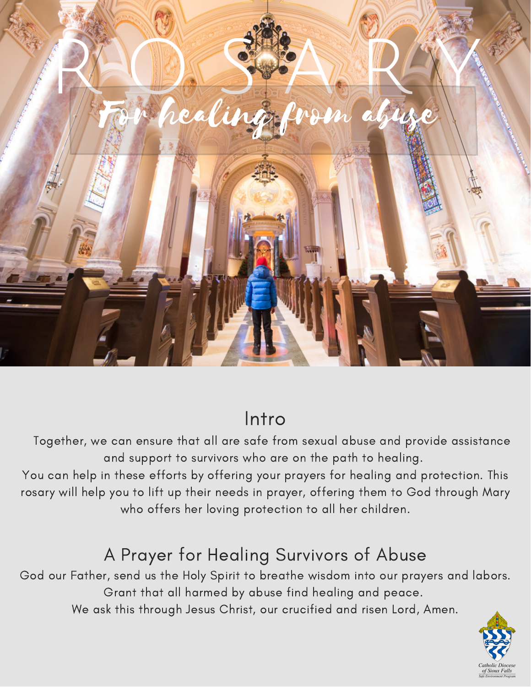

# Intro

Together, we can ensure that all are safe from sexual abuse and provide assistance and support to survivors who are on the path to healing.

You can help in these efforts by offering your prayers for healing and protection. This rosary will help you to lift up their needs in prayer, offering them to God through Mary who offers her loving protection to all her children.

# A Prayer for Healing Survivors of Abuse

God our Father, send us the Holy Spirit to breathe wisdom into our prayers and labors. Grant that all harmed by abuse find healing and peace. We ask this through Jesus Christ, our crucified and risen Lord, Amen.